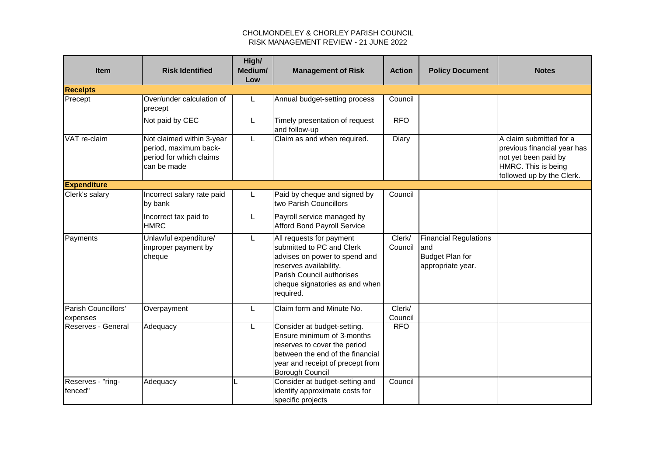## CHOLMONDELEY & CHORLEY PARISH COUNCIL RISK MANAGEMENT REVIEW - 21 JUNE 2022

| <b>Item</b>                     | <b>Risk Identified</b>                                                                       | High/<br>Medium/<br>Low | <b>Management of Risk</b>                                                                                                                                                                    | <b>Action</b>     | <b>Policy Document</b>                                                             | <b>Notes</b>                                                                                                                       |
|---------------------------------|----------------------------------------------------------------------------------------------|-------------------------|----------------------------------------------------------------------------------------------------------------------------------------------------------------------------------------------|-------------------|------------------------------------------------------------------------------------|------------------------------------------------------------------------------------------------------------------------------------|
| <b>Receipts</b>                 |                                                                                              |                         |                                                                                                                                                                                              |                   |                                                                                    |                                                                                                                                    |
| Precept                         | Over/under calculation of<br>precept                                                         |                         | Annual budget-setting process                                                                                                                                                                | Council           |                                                                                    |                                                                                                                                    |
|                                 | Not paid by CEC                                                                              | L                       | Timely presentation of request<br>and follow-up                                                                                                                                              | <b>RFO</b>        |                                                                                    |                                                                                                                                    |
| VAT re-claim                    | Not claimed within 3-year<br>period, maximum back-<br>period for which claims<br>can be made | L                       | Claim as and when required.                                                                                                                                                                  | Diary             |                                                                                    | A claim submitted for a<br>previous financial year has<br>not yet been paid by<br>HMRC. This is being<br>followed up by the Clerk. |
| <b>Expenditure</b>              |                                                                                              |                         |                                                                                                                                                                                              |                   |                                                                                    |                                                                                                                                    |
| Clerk's salary                  | Incorrect salary rate paid<br>by bank                                                        | L                       | Paid by cheque and signed by<br>two Parish Councillors                                                                                                                                       | Council           |                                                                                    |                                                                                                                                    |
|                                 | Incorrect tax paid to<br><b>HMRC</b>                                                         | L                       | Payroll service managed by<br><b>Afford Bond Payroll Service</b>                                                                                                                             |                   |                                                                                    |                                                                                                                                    |
| Payments                        | Unlawful expenditure/<br>improper payment by<br>cheque                                       | L                       | All requests for payment<br>submitted to PC and Clerk<br>advises on power to spend and<br>reserves availability.<br>Parish Council authorises<br>cheque signatories as and when<br>required. | Clerk/<br>Council | <b>Financial Regulations</b><br>and<br><b>Budget Plan for</b><br>appropriate year. |                                                                                                                                    |
| Parish Councillors'<br>expenses | Overpayment                                                                                  | L                       | Claim form and Minute No.                                                                                                                                                                    | Clerk/<br>Council |                                                                                    |                                                                                                                                    |
| <b>Reserves - General</b>       | Adequacy                                                                                     | L                       | Consider at budget-setting.<br>Ensure minimum of 3-months<br>reserves to cover the period<br>between the end of the financial<br>year and receipt of precept from<br>Borough Council         | <b>RFO</b>        |                                                                                    |                                                                                                                                    |
| Reserves - "ring-<br>fenced"    | Adequacy                                                                                     |                         | Consider at budget-setting and<br>identify approximate costs for<br>specific projects                                                                                                        | Council           |                                                                                    |                                                                                                                                    |